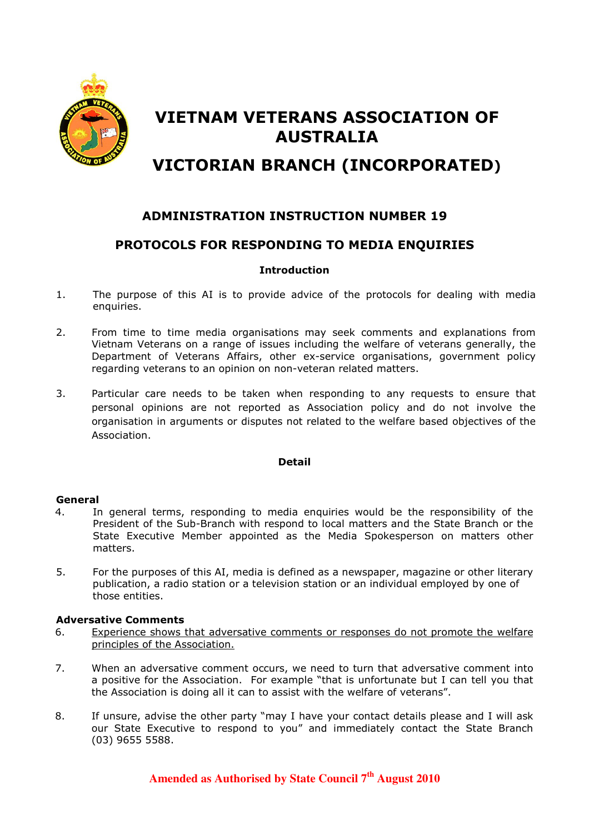

# VIETNAM VETERANS ASSOCIATION OF AUSTRALIA

# VICTORIAN BRANCH (INCORPORATED)

## ADMINISTRATION INSTRUCTION NUMBER 19

### PROTOCOLS FOR RESPONDING TO MEDIA ENQUIRIES

#### **Introduction**

- 1. The purpose of this AI is to provide advice of the protocols for dealing with media enquiries.
- 2. From time to time media organisations may seek comments and explanations from Vietnam Veterans on a range of issues including the welfare of veterans generally, the Department of Veterans Affairs, other ex-service organisations, government policy regarding veterans to an opinion on non-veteran related matters.
- 3. Particular care needs to be taken when responding to any requests to ensure that personal opinions are not reported as Association policy and do not involve the organisation in arguments or disputes not related to the welfare based objectives of the Association.

#### Detail

#### General

- 4. In general terms, responding to media enquiries would be the responsibility of the President of the Sub-Branch with respond to local matters and the State Branch or the State Executive Member appointed as the Media Spokesperson on matters other matters.
- 5. For the purposes of this AI, media is defined as a newspaper, magazine or other literary publication, a radio station or a television station or an individual employed by one of those entities.

#### Adversative Comments

- 6. Experience shows that adversative comments or responses do not promote the welfare principles of the Association.
- 7. When an adversative comment occurs, we need to turn that adversative comment into a positive for the Association. For example "that is unfortunate but I can tell you that the Association is doing all it can to assist with the welfare of veterans".
- 8. If unsure, advise the other party "may I have your contact details please and I will ask our State Executive to respond to you" and immediately contact the State Branch (03) 9655 5588.